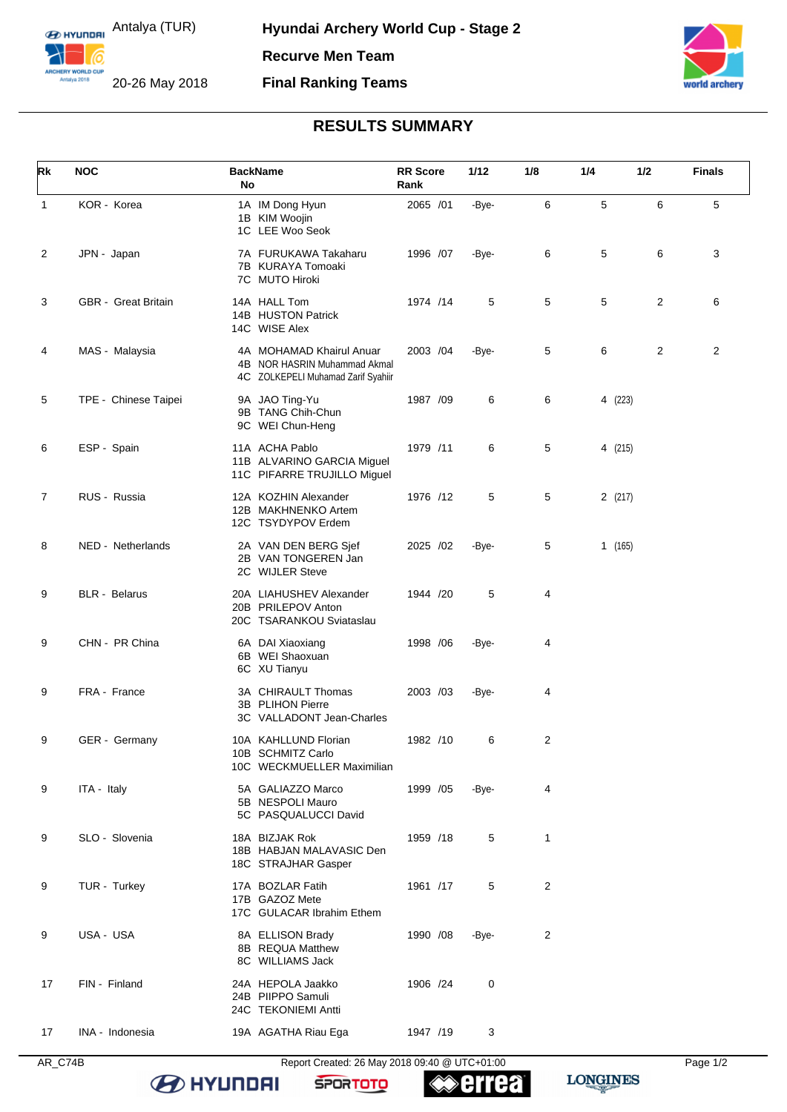**E HYLINDRI** Antalya (TUR)

6

ARCHERY WORLD CUF

20-26 May 2018



## **RESULTS SUMMARY**

| Rk             | <b>NOC</b>                 | <b>BackName</b><br>No                                                                          | <b>RR Score</b><br>Rank | 1/12  | 1/8            | 1/4     | 1/2 | <b>Finals</b>  |
|----------------|----------------------------|------------------------------------------------------------------------------------------------|-------------------------|-------|----------------|---------|-----|----------------|
| $\mathbf{1}$   | KOR - Korea                | 1A IM Dong Hyun<br>1B KIM Woojin<br>1C LEE Woo Seok                                            | 2065 /01                | -Bye- | 6              | 5       | 6   | 5              |
| $\overline{c}$ | JPN - Japan                | 7A FURUKAWA Takaharu<br>7B KURAYA Tomoaki<br>7C MUTO Hiroki                                    | 1996 /07                | -Bye- | 6              | 5       | 6   | 3              |
| 3              | <b>GBR</b> - Great Britain | 14A HALL Tom<br>14B HUSTON Patrick<br>14C WISE Alex                                            | 1974 /14                | 5     | 5              | 5       | 2   | 6              |
| 4              | MAS - Malaysia             | 4A MOHAMAD Khairul Anuar<br>4B NOR HASRIN Muhammad Akmal<br>4C ZOLKEPELI Muhamad Zarif Syahiir | 2003 /04                | -Bye- | 5              | 6       | 2   | $\overline{2}$ |
| 5              | TPE - Chinese Taipei       | 9A JAO Ting-Yu<br>9B TANG Chih-Chun<br>9C WEI Chun-Heng                                        | 1987 /09                | 6     | 6              | 4 (223) |     |                |
| 6              | ESP - Spain                | 11A ACHA Pablo<br>11B ALVARINO GARCIA Miguel<br>11C PIFARRE TRUJILLO Miguel                    | 1979 /11                | 6     | 5              | 4 (215) |     |                |
| 7              | RUS - Russia               | 12A KOZHIN Alexander<br>12B MAKHNENKO Artem<br>12C TSYDYPOV Erdem                              | 1976 /12                | 5     | 5              | 2(217)  |     |                |
| 8              | NED - Netherlands          | 2A VAN DEN BERG Sjef<br>2B VAN TONGEREN Jan<br>2C WIJLER Steve                                 | 2025 /02                | -Bye- | 5              | 1(165)  |     |                |
| 9              | <b>BLR</b> - Belarus       | 20A LIAHUSHEV Alexander<br>20B PRILEPOV Anton<br>20C TSARANKOU Sviataslau                      | 1944 /20                | 5     | 4              |         |     |                |
| 9              | CHN - PR China             | 6A DAI Xiaoxiang<br>6B WEI Shaoxuan<br>6C XU Tianyu                                            | 1998 / 06               | -Bye- | 4              |         |     |                |
| 9              | FRA - France               | 3A CHIRAULT Thomas<br>3B PLIHON Pierre<br>3C VALLADONT Jean-Charles                            | 2003 /03                | -Bye- | 4              |         |     |                |
| 9              | GER - Germany              | 10A KAHLLUND Florian<br>10B SCHMITZ Carlo<br>10C WECKMUELLER Maximilian                        | 1982 /10                | 6     | $\overline{c}$ |         |     |                |
| 9              | ITA - Italy                | 5A GALIAZZO Marco<br>5B NESPOLI Mauro<br>5C PASQUALUCCI David                                  | 1999 / 05               | -Bye- | 4              |         |     |                |
| 9              | SLO - Slovenia             | 18A BIZJAK Rok<br>18B HABJAN MALAVASIC Den<br>18C STRAJHAR Gasper                              | 1959 /18                | 5     | 1              |         |     |                |
| 9              | TUR - Turkey               | 17A BOZLAR Fatih<br>17B GAZOZ Mete<br>17C GULACAR Ibrahim Ethem                                | 1961 /17                | 5     | $\overline{c}$ |         |     |                |
| 9              | USA - USA                  | 8A ELLISON Brady<br>8B REQUA Matthew<br>8C WILLIAMS Jack                                       | 1990 /08                | -Bye- | 2              |         |     |                |
| 17             | FIN - Finland              | 24A HEPOLA Jaakko<br>24B PIIPPO Samuli<br>24C TEKONIEMI Antti                                  | 1906 /24                | 0     |                |         |     |                |
| 17             | INA - Indonesia            | 19A AGATHA Riau Ega                                                                            | 1947 /19                | 3     |                |         |     |                |

AR\_C74B Report Created: 26 May 2018 09:40 @ UTC+01:00 Page 1/2

**B** HYUNDAI



**errea**